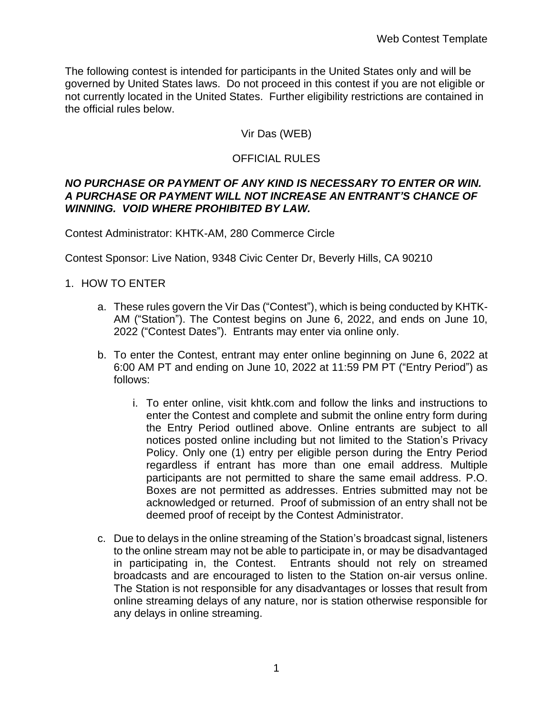The following contest is intended for participants in the United States only and will be governed by United States laws. Do not proceed in this contest if you are not eligible or not currently located in the United States. Further eligibility restrictions are contained in the official rules below.

# Vir Das (WEB)

# OFFICIAL RULES

#### *NO PURCHASE OR PAYMENT OF ANY KIND IS NECESSARY TO ENTER OR WIN. A PURCHASE OR PAYMENT WILL NOT INCREASE AN ENTRANT'S CHANCE OF WINNING. VOID WHERE PROHIBITED BY LAW.*

Contest Administrator: KHTK-AM, 280 Commerce Circle

Contest Sponsor: Live Nation, 9348 Civic Center Dr, Beverly Hills, CA 90210

### 1. HOW TO ENTER

- a. These rules govern the Vir Das ("Contest"), which is being conducted by KHTK-AM ("Station"). The Contest begins on June 6, 2022, and ends on June 10, 2022 ("Contest Dates"). Entrants may enter via online only.
- b. To enter the Contest, entrant may enter online beginning on June 6, 2022 at 6:00 AM PT and ending on June 10, 2022 at 11:59 PM PT ("Entry Period") as follows:
	- i. To enter online, visit khtk.com and follow the links and instructions to enter the Contest and complete and submit the online entry form during the Entry Period outlined above. Online entrants are subject to all notices posted online including but not limited to the Station's Privacy Policy. Only one (1) entry per eligible person during the Entry Period regardless if entrant has more than one email address. Multiple participants are not permitted to share the same email address. P.O. Boxes are not permitted as addresses. Entries submitted may not be acknowledged or returned. Proof of submission of an entry shall not be deemed proof of receipt by the Contest Administrator.
- c. Due to delays in the online streaming of the Station's broadcast signal, listeners to the online stream may not be able to participate in, or may be disadvantaged in participating in, the Contest. Entrants should not rely on streamed broadcasts and are encouraged to listen to the Station on-air versus online. The Station is not responsible for any disadvantages or losses that result from online streaming delays of any nature, nor is station otherwise responsible for any delays in online streaming.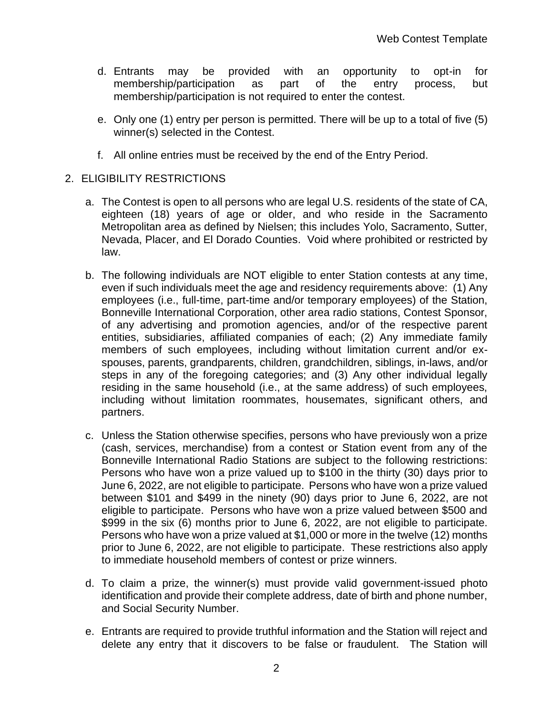- d. Entrants may be provided with an opportunity to opt-in for membership/participation as part of the entry process, but membership/participation is not required to enter the contest.
- e. Only one (1) entry per person is permitted. There will be up to a total of five (5) winner(s) selected in the Contest.
- f. All online entries must be received by the end of the Entry Period.

#### 2. ELIGIBILITY RESTRICTIONS

- a. The Contest is open to all persons who are legal U.S. residents of the state of CA, eighteen (18) years of age or older, and who reside in the Sacramento Metropolitan area as defined by Nielsen; this includes Yolo, Sacramento, Sutter, Nevada, Placer, and El Dorado Counties. Void where prohibited or restricted by law.
- b. The following individuals are NOT eligible to enter Station contests at any time, even if such individuals meet the age and residency requirements above: (1) Any employees (i.e., full-time, part-time and/or temporary employees) of the Station, Bonneville International Corporation, other area radio stations, Contest Sponsor, of any advertising and promotion agencies, and/or of the respective parent entities, subsidiaries, affiliated companies of each; (2) Any immediate family members of such employees, including without limitation current and/or exspouses, parents, grandparents, children, grandchildren, siblings, in-laws, and/or steps in any of the foregoing categories; and (3) Any other individual legally residing in the same household (i.e., at the same address) of such employees, including without limitation roommates, housemates, significant others, and partners.
- c. Unless the Station otherwise specifies, persons who have previously won a prize (cash, services, merchandise) from a contest or Station event from any of the Bonneville International Radio Stations are subject to the following restrictions: Persons who have won a prize valued up to \$100 in the thirty (30) days prior to June 6, 2022, are not eligible to participate. Persons who have won a prize valued between \$101 and \$499 in the ninety (90) days prior to June 6, 2022, are not eligible to participate. Persons who have won a prize valued between \$500 and \$999 in the six (6) months prior to June 6, 2022, are not eligible to participate. Persons who have won a prize valued at \$1,000 or more in the twelve (12) months prior to June 6, 2022, are not eligible to participate. These restrictions also apply to immediate household members of contest or prize winners.
- d. To claim a prize, the winner(s) must provide valid government-issued photo identification and provide their complete address, date of birth and phone number, and Social Security Number.
- e. Entrants are required to provide truthful information and the Station will reject and delete any entry that it discovers to be false or fraudulent. The Station will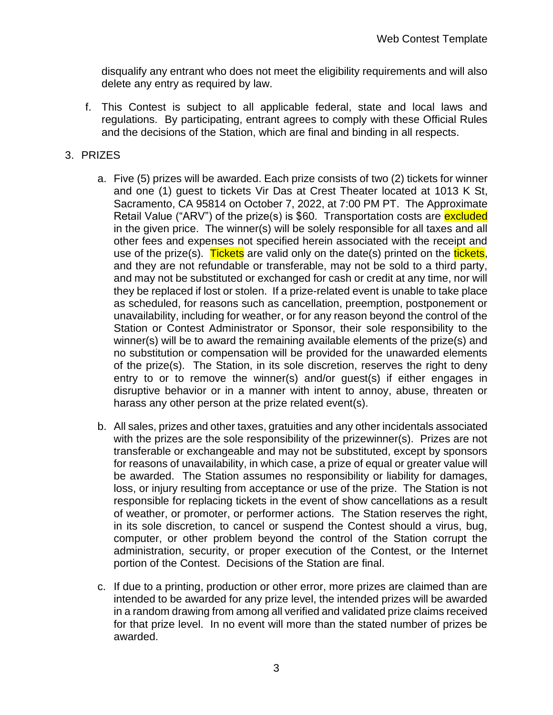disqualify any entrant who does not meet the eligibility requirements and will also delete any entry as required by law.

f. This Contest is subject to all applicable federal, state and local laws and regulations. By participating, entrant agrees to comply with these Official Rules and the decisions of the Station, which are final and binding in all respects.

### 3. PRIZES

- a. Five (5) prizes will be awarded. Each prize consists of two (2) tickets for winner and one (1) guest to tickets Vir Das at Crest Theater located at 1013 K St, Sacramento, CA 95814 on October 7, 2022, at 7:00 PM PT. The Approximate Retail Value ("ARV") of the prize(s) is \$60. Transportation costs are excluded in the given price. The winner(s) will be solely responsible for all taxes and all other fees and expenses not specified herein associated with the receipt and use of the prize(s). Tickets are valid only on the date(s) printed on the tickets, and they are not refundable or transferable, may not be sold to a third party, and may not be substituted or exchanged for cash or credit at any time, nor will they be replaced if lost or stolen. If a prize-related event is unable to take place as scheduled, for reasons such as cancellation, preemption, postponement or unavailability, including for weather, or for any reason beyond the control of the Station or Contest Administrator or Sponsor, their sole responsibility to the winner(s) will be to award the remaining available elements of the prize(s) and no substitution or compensation will be provided for the unawarded elements of the prize(s). The Station, in its sole discretion, reserves the right to deny entry to or to remove the winner(s) and/or guest(s) if either engages in disruptive behavior or in a manner with intent to annoy, abuse, threaten or harass any other person at the prize related event(s).
- b. All sales, prizes and other taxes, gratuities and any other incidentals associated with the prizes are the sole responsibility of the prizewinner(s). Prizes are not transferable or exchangeable and may not be substituted, except by sponsors for reasons of unavailability, in which case, a prize of equal or greater value will be awarded. The Station assumes no responsibility or liability for damages, loss, or injury resulting from acceptance or use of the prize. The Station is not responsible for replacing tickets in the event of show cancellations as a result of weather, or promoter, or performer actions. The Station reserves the right, in its sole discretion, to cancel or suspend the Contest should a virus, bug, computer, or other problem beyond the control of the Station corrupt the administration, security, or proper execution of the Contest, or the Internet portion of the Contest. Decisions of the Station are final.
- c. If due to a printing, production or other error, more prizes are claimed than are intended to be awarded for any prize level, the intended prizes will be awarded in a random drawing from among all verified and validated prize claims received for that prize level. In no event will more than the stated number of prizes be awarded.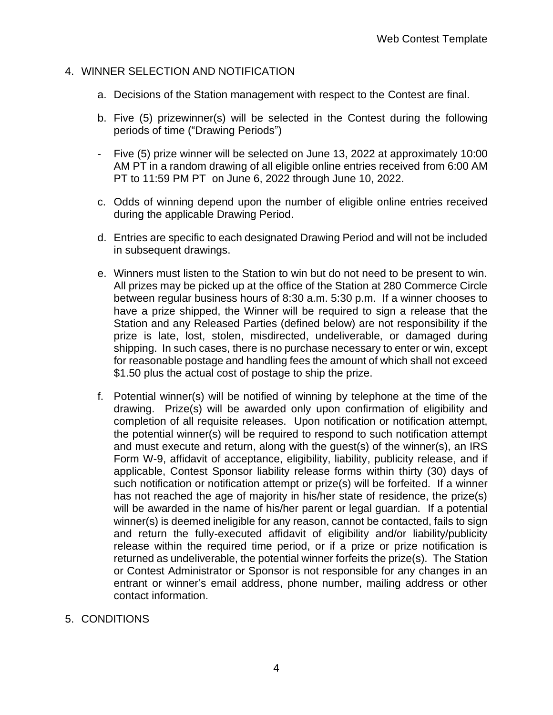#### 4. WINNER SELECTION AND NOTIFICATION

- a. Decisions of the Station management with respect to the Contest are final.
- b. Five (5) prizewinner(s) will be selected in the Contest during the following periods of time ("Drawing Periods")
- Five (5) prize winner will be selected on June 13, 2022 at approximately 10:00 AM PT in a random drawing of all eligible online entries received from 6:00 AM PT to 11:59 PM PT on June 6, 2022 through June 10, 2022.
- c. Odds of winning depend upon the number of eligible online entries received during the applicable Drawing Period.
- d. Entries are specific to each designated Drawing Period and will not be included in subsequent drawings.
- e. Winners must listen to the Station to win but do not need to be present to win. All prizes may be picked up at the office of the Station at 280 Commerce Circle between regular business hours of 8:30 a.m. 5:30 p.m. If a winner chooses to have a prize shipped, the Winner will be required to sign a release that the Station and any Released Parties (defined below) are not responsibility if the prize is late, lost, stolen, misdirected, undeliverable, or damaged during shipping. In such cases, there is no purchase necessary to enter or win, except for reasonable postage and handling fees the amount of which shall not exceed \$1.50 plus the actual cost of postage to ship the prize.
- f. Potential winner(s) will be notified of winning by telephone at the time of the drawing. Prize(s) will be awarded only upon confirmation of eligibility and completion of all requisite releases. Upon notification or notification attempt, the potential winner(s) will be required to respond to such notification attempt and must execute and return, along with the guest(s) of the winner(s), an IRS Form W-9, affidavit of acceptance, eligibility, liability, publicity release, and if applicable, Contest Sponsor liability release forms within thirty (30) days of such notification or notification attempt or prize(s) will be forfeited. If a winner has not reached the age of majority in his/her state of residence, the prize(s) will be awarded in the name of his/her parent or legal guardian. If a potential winner(s) is deemed ineligible for any reason, cannot be contacted, fails to sign and return the fully-executed affidavit of eligibility and/or liability/publicity release within the required time period, or if a prize or prize notification is returned as undeliverable, the potential winner forfeits the prize(s). The Station or Contest Administrator or Sponsor is not responsible for any changes in an entrant or winner's email address, phone number, mailing address or other contact information.
- 5. CONDITIONS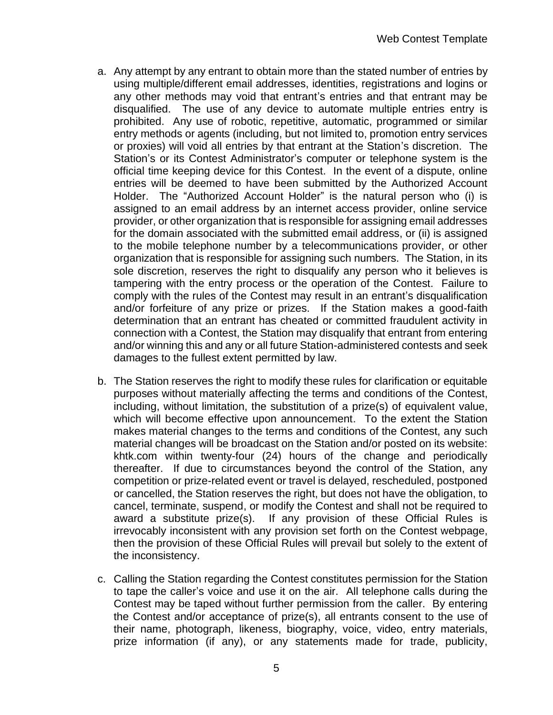- a. Any attempt by any entrant to obtain more than the stated number of entries by using multiple/different email addresses, identities, registrations and logins or any other methods may void that entrant's entries and that entrant may be disqualified. The use of any device to automate multiple entries entry is prohibited. Any use of robotic, repetitive, automatic, programmed or similar entry methods or agents (including, but not limited to, promotion entry services or proxies) will void all entries by that entrant at the Station's discretion. The Station's or its Contest Administrator's computer or telephone system is the official time keeping device for this Contest. In the event of a dispute, online entries will be deemed to have been submitted by the Authorized Account Holder. The "Authorized Account Holder" is the natural person who (i) is assigned to an email address by an internet access provider, online service provider, or other organization that is responsible for assigning email addresses for the domain associated with the submitted email address, or (ii) is assigned to the mobile telephone number by a telecommunications provider, or other organization that is responsible for assigning such numbers. The Station, in its sole discretion, reserves the right to disqualify any person who it believes is tampering with the entry process or the operation of the Contest. Failure to comply with the rules of the Contest may result in an entrant's disqualification and/or forfeiture of any prize or prizes. If the Station makes a good-faith determination that an entrant has cheated or committed fraudulent activity in connection with a Contest, the Station may disqualify that entrant from entering and/or winning this and any or all future Station-administered contests and seek damages to the fullest extent permitted by law.
- b. The Station reserves the right to modify these rules for clarification or equitable purposes without materially affecting the terms and conditions of the Contest, including, without limitation, the substitution of a prize(s) of equivalent value, which will become effective upon announcement. To the extent the Station makes material changes to the terms and conditions of the Contest, any such material changes will be broadcast on the Station and/or posted on its website: khtk.com within twenty-four (24) hours of the change and periodically thereafter. If due to circumstances beyond the control of the Station, any competition or prize-related event or travel is delayed, rescheduled, postponed or cancelled, the Station reserves the right, but does not have the obligation, to cancel, terminate, suspend, or modify the Contest and shall not be required to award a substitute prize(s). If any provision of these Official Rules is irrevocably inconsistent with any provision set forth on the Contest webpage, then the provision of these Official Rules will prevail but solely to the extent of the inconsistency.
- c. Calling the Station regarding the Contest constitutes permission for the Station to tape the caller's voice and use it on the air. All telephone calls during the Contest may be taped without further permission from the caller. By entering the Contest and/or acceptance of prize(s), all entrants consent to the use of their name, photograph, likeness, biography, voice, video, entry materials, prize information (if any), or any statements made for trade, publicity,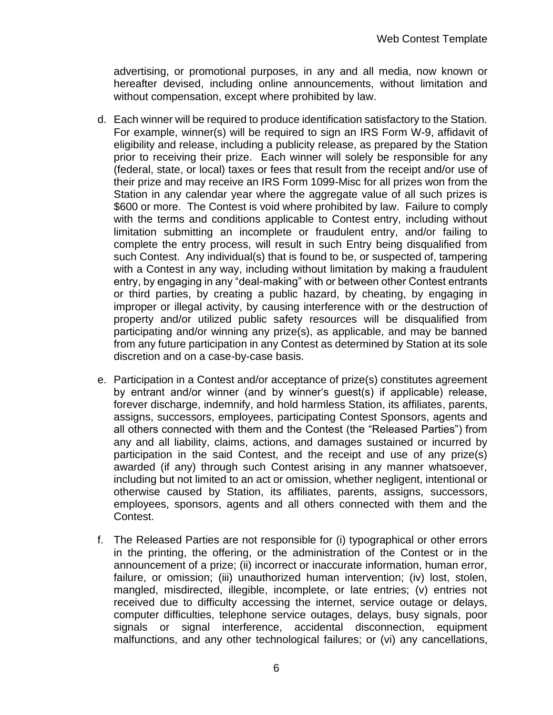advertising, or promotional purposes, in any and all media, now known or hereafter devised, including online announcements, without limitation and without compensation, except where prohibited by law.

- d. Each winner will be required to produce identification satisfactory to the Station. For example, winner(s) will be required to sign an IRS Form W-9, affidavit of eligibility and release, including a publicity release, as prepared by the Station prior to receiving their prize. Each winner will solely be responsible for any (federal, state, or local) taxes or fees that result from the receipt and/or use of their prize and may receive an IRS Form 1099-Misc for all prizes won from the Station in any calendar year where the aggregate value of all such prizes is \$600 or more. The Contest is void where prohibited by law. Failure to comply with the terms and conditions applicable to Contest entry, including without limitation submitting an incomplete or fraudulent entry, and/or failing to complete the entry process, will result in such Entry being disqualified from such Contest. Any individual(s) that is found to be, or suspected of, tampering with a Contest in any way, including without limitation by making a fraudulent entry, by engaging in any "deal-making" with or between other Contest entrants or third parties, by creating a public hazard, by cheating, by engaging in improper or illegal activity, by causing interference with or the destruction of property and/or utilized public safety resources will be disqualified from participating and/or winning any prize(s), as applicable, and may be banned from any future participation in any Contest as determined by Station at its sole discretion and on a case-by-case basis.
- e. Participation in a Contest and/or acceptance of prize(s) constitutes agreement by entrant and/or winner (and by winner's guest(s) if applicable) release, forever discharge, indemnify, and hold harmless Station, its affiliates, parents, assigns, successors, employees, participating Contest Sponsors, agents and all others connected with them and the Contest (the "Released Parties") from any and all liability, claims, actions, and damages sustained or incurred by participation in the said Contest, and the receipt and use of any prize(s) awarded (if any) through such Contest arising in any manner whatsoever, including but not limited to an act or omission, whether negligent, intentional or otherwise caused by Station, its affiliates, parents, assigns, successors, employees, sponsors, agents and all others connected with them and the Contest.
- f. The Released Parties are not responsible for (i) typographical or other errors in the printing, the offering, or the administration of the Contest or in the announcement of a prize; (ii) incorrect or inaccurate information, human error, failure, or omission; (iii) unauthorized human intervention; (iv) lost, stolen, mangled, misdirected, illegible, incomplete, or late entries; (v) entries not received due to difficulty accessing the internet, service outage or delays, computer difficulties, telephone service outages, delays, busy signals, poor signals or signal interference, accidental disconnection, equipment malfunctions, and any other technological failures; or (vi) any cancellations,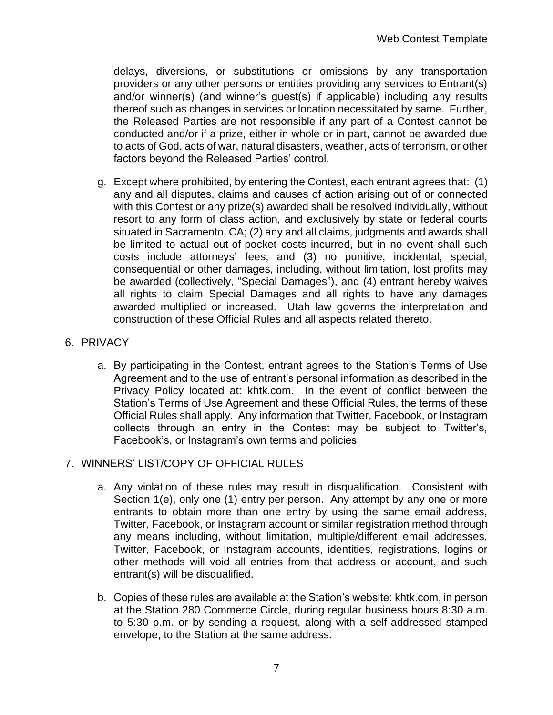delays, diversions, or substitutions or omissions by any transportation providers or any other persons or entities providing any services to Entrant(s) and/or winner(s) (and winner's guest(s) if applicable) including any results thereof such as changes in services or location necessitated by same. Further, the Released Parties are not responsible if any part of a Contest cannot be conducted and/or if a prize, either in whole or in part, cannot be awarded due to acts of God, acts of war, natural disasters, weather, acts of terrorism, or other factors beyond the Released Parties' control.

- g. Except where prohibited, by entering the Contest, each entrant agrees that: (1) any and all disputes, claims and causes of action arising out of or connected with this Contest or any prize(s) awarded shall be resolved individually, without resort to any form of class action, and exclusively by state or federal courts situated in Sacramento, CA; (2) any and all claims, judgments and awards shall be limited to actual out-of-pocket costs incurred, but in no event shall such costs include attorneys' fees; and (3) no punitive, incidental, special, consequential or other damages, including, without limitation, lost profits may be awarded (collectively, "Special Damages"), and (4) entrant hereby waives all rights to claim Special Damages and all rights to have any damages awarded multiplied or increased. Utah law governs the interpretation and construction of these Official Rules and all aspects related thereto.
- 6. PRIVACY
	- a. By participating in the Contest, entrant agrees to the Station's Terms of Use Agreement and to the use of entrant's personal information as described in the Privacy Policy located at: khtk.com. In the event of conflict between the Station's Terms of Use Agreement and these Official Rules, the terms of these Official Rules shall apply. Any information that Twitter, Facebook, or Instagram collects through an entry in the Contest may be subject to Twitter's, Facebook's, or Instagram's own terms and policies

# 7. WINNERS' LIST/COPY OF OFFICIAL RULES

- a. Any violation of these rules may result in disqualification. Consistent with Section 1(e), only one (1) entry per person. Any attempt by any one or more entrants to obtain more than one entry by using the same email address, Twitter, Facebook, or Instagram account or similar registration method through any means including, without limitation, multiple/different email addresses, Twitter, Facebook, or Instagram accounts, identities, registrations, logins or other methods will void all entries from that address or account, and such entrant(s) will be disqualified.
- b. Copies of these rules are available at the Station's website: khtk.com, in person at the Station 280 Commerce Circle, during regular business hours 8:30 a.m. to 5:30 p.m. or by sending a request, along with a self-addressed stamped envelope, to the Station at the same address.